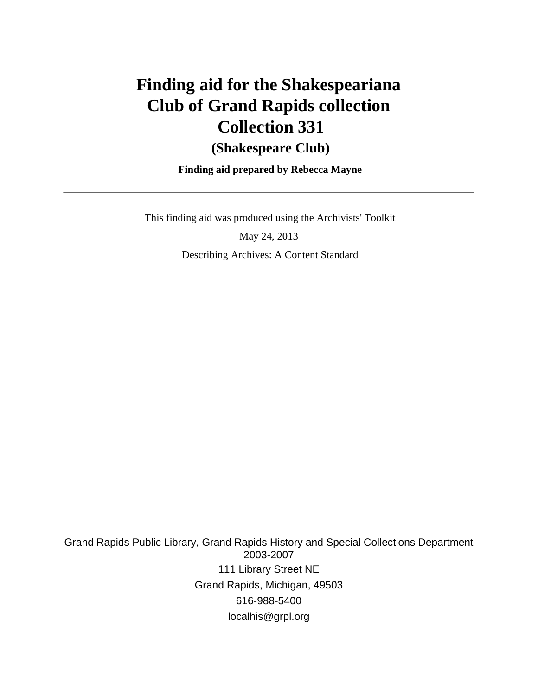# **Finding aid for the Shakespeariana Club of Grand Rapids collection Collection 331**

## **(Shakespeare Club)**

 **Finding aid prepared by Rebecca Mayne**

This finding aid was produced using the Archivists' Toolkit

May 24, 2013 Describing Archives: A Content Standard

Grand Rapids Public Library, Grand Rapids History and Special Collections Department 2003-2007 111 Library Street NE Grand Rapids, Michigan, 49503 616-988-5400 localhis@grpl.org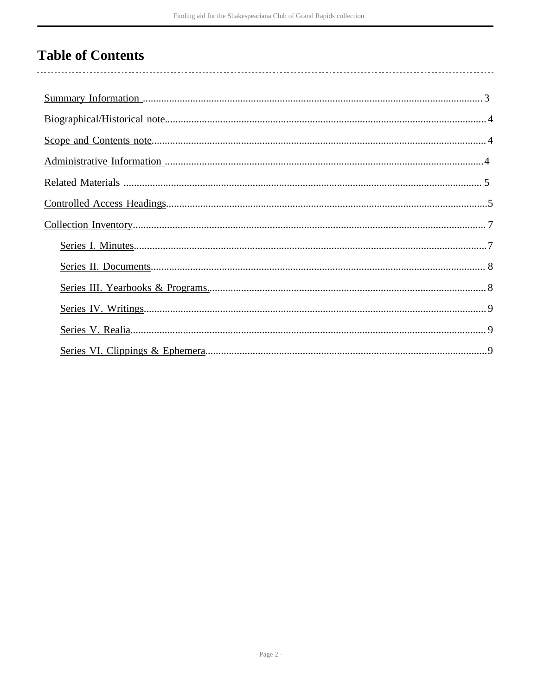## **Table of Contents**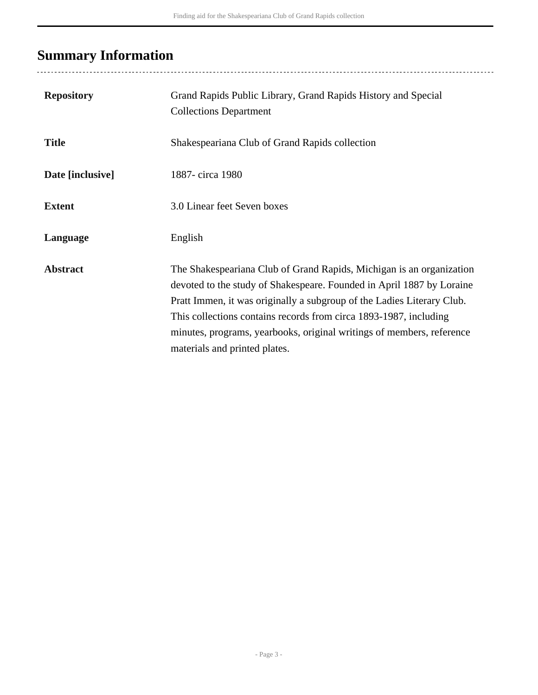## <span id="page-2-0"></span>**Summary Information**

..................................

| <b>Repository</b> | Grand Rapids Public Library, Grand Rapids History and Special<br><b>Collections Department</b>                                                                                                                                                                                                                                                                                                         |
|-------------------|--------------------------------------------------------------------------------------------------------------------------------------------------------------------------------------------------------------------------------------------------------------------------------------------------------------------------------------------------------------------------------------------------------|
| <b>Title</b>      | Shakespeariana Club of Grand Rapids collection                                                                                                                                                                                                                                                                                                                                                         |
| Date [inclusive]  | 1887-circa 1980                                                                                                                                                                                                                                                                                                                                                                                        |
| <b>Extent</b>     | 3.0 Linear feet Seven boxes                                                                                                                                                                                                                                                                                                                                                                            |
| Language          | English                                                                                                                                                                                                                                                                                                                                                                                                |
| <b>Abstract</b>   | The Shakespeariana Club of Grand Rapids, Michigan is an organization<br>devoted to the study of Shakespeare. Founded in April 1887 by Loraine<br>Pratt Immen, it was originally a subgroup of the Ladies Literary Club.<br>This collections contains records from circa 1893-1987, including<br>minutes, programs, yearbooks, original writings of members, reference<br>materials and printed plates. |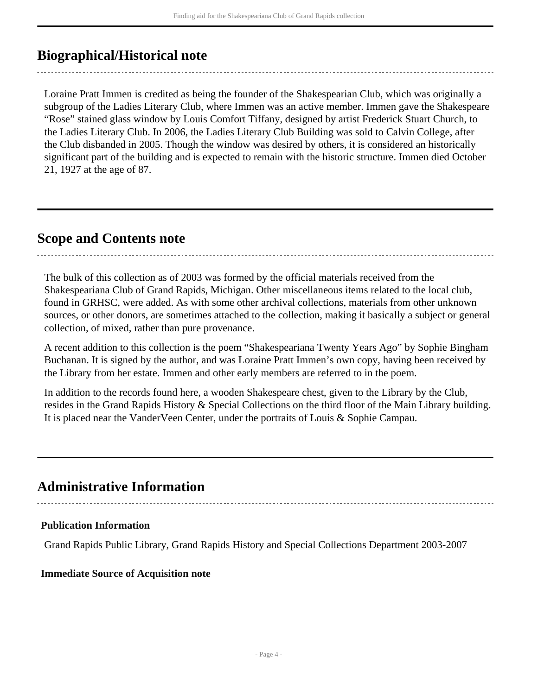## <span id="page-3-0"></span>**Biographical/Historical note**

Loraine Pratt Immen is credited as being the founder of the Shakespearian Club, which was originally a subgroup of the Ladies Literary Club, where Immen was an active member. Immen gave the Shakespeare "Rose" stained glass window by Louis Comfort Tiffany, designed by artist Frederick Stuart Church, to the Ladies Literary Club. In 2006, the Ladies Literary Club Building was sold to Calvin College, after the Club disbanded in 2005. Though the window was desired by others, it is considered an historically significant part of the building and is expected to remain with the historic structure. Immen died October 21, 1927 at the age of 87.

### <span id="page-3-1"></span>**Scope and Contents note**

The bulk of this collection as of 2003 was formed by the official materials received from the Shakespeariana Club of Grand Rapids, Michigan. Other miscellaneous items related to the local club, found in GRHSC, were added. As with some other archival collections, materials from other unknown sources, or other donors, are sometimes attached to the collection, making it basically a subject or general collection, of mixed, rather than pure provenance.

A recent addition to this collection is the poem "Shakespeariana Twenty Years Ago" by Sophie Bingham Buchanan. It is signed by the author, and was Loraine Pratt Immen's own copy, having been received by the Library from her estate. Immen and other early members are referred to in the poem.

In addition to the records found here, a wooden Shakespeare chest, given to the Library by the Club, resides in the Grand Rapids History & Special Collections on the third floor of the Main Library building. It is placed near the VanderVeen Center, under the portraits of Louis & Sophie Campau.

## <span id="page-3-2"></span>**Administrative Information**

## **Publication Information**

Grand Rapids Public Library, Grand Rapids History and Special Collections Department 2003-2007

#### **Immediate Source of Acquisition note**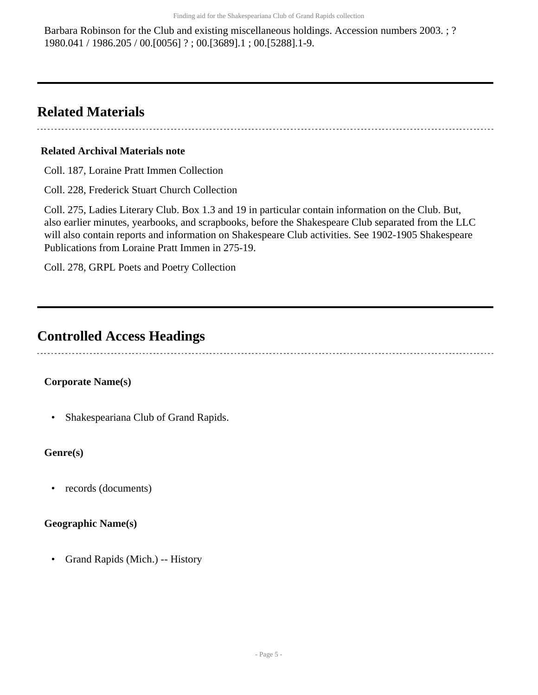Barbara Robinson for the Club and existing miscellaneous holdings. Accession numbers 2003. ; ? 1980.041 / 1986.205 / 00.[0056] ? ; 00.[3689].1 ; 00.[5288].1-9.

## <span id="page-4-0"></span>**Related Materials**

#### **Related Archival Materials note**

Coll. 187, Loraine Pratt Immen Collection

Coll. 228, Frederick Stuart Church Collection

Coll. 275, Ladies Literary Club. Box 1.3 and 19 in particular contain information on the Club. But, also earlier minutes, yearbooks, and scrapbooks, before the Shakespeare Club separated from the LLC will also contain reports and information on Shakespeare Club activities. See 1902-1905 Shakespeare Publications from Loraine Pratt Immen in 275-19.

Coll. 278, GRPL Poets and Poetry Collection

## <span id="page-4-1"></span>**Controlled Access Headings**

#### **Corporate Name(s)**

• Shakespeariana Club of Grand Rapids.

#### **Genre(s)**

• records (documents)

#### **Geographic Name(s)**

• Grand Rapids (Mich.) -- History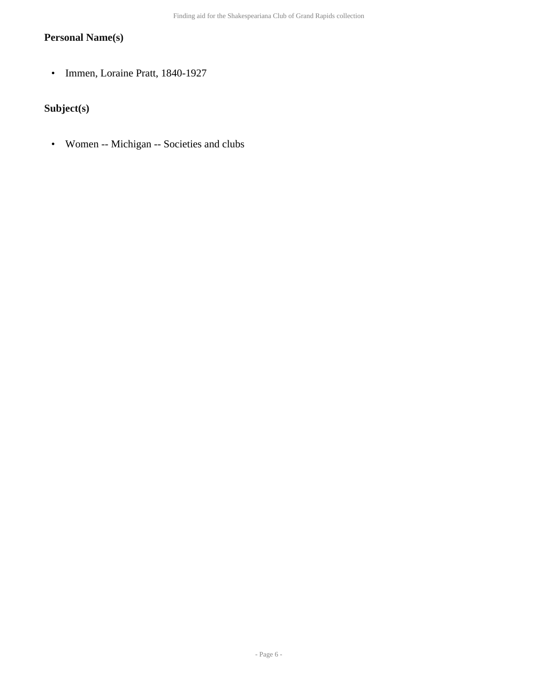#### **Personal Name(s)**

• Immen, Loraine Pratt, 1840-1927

### **Subject(s)**

• Women -- Michigan -- Societies and clubs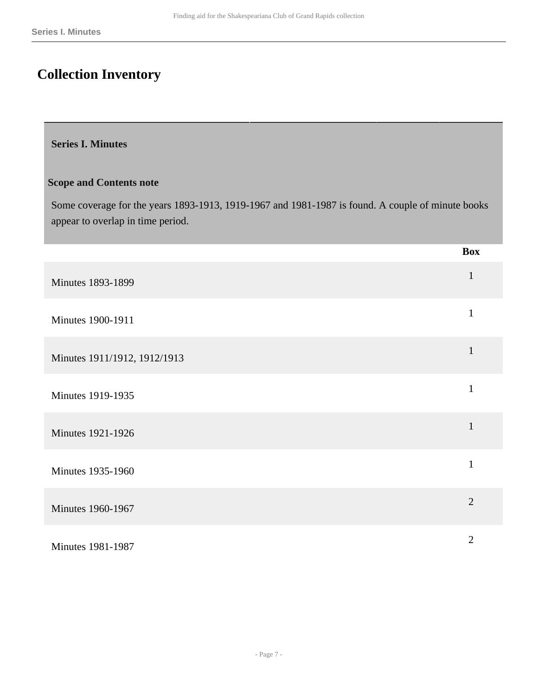## <span id="page-6-0"></span>**Collection Inventory**

#### <span id="page-6-1"></span>**Series I. Minutes**

#### **Scope and Contents note**

Some coverage for the years 1893-1913, 1919-1967 and 1981-1987 is found. A couple of minute books appear to overlap in time period.

|                              | <b>Box</b>     |
|------------------------------|----------------|
| <b>Minutes 1893-1899</b>     | $\mathbf{1}$   |
| Minutes 1900-1911            | $\mathbf{1}$   |
| Minutes 1911/1912, 1912/1913 | $\mathbf{1}$   |
| <b>Minutes 1919-1935</b>     | $\mathbf{1}$   |
| <b>Minutes 1921-1926</b>     | $\mathbf{1}$   |
| <b>Minutes 1935-1960</b>     | $\mathbf{1}$   |
| <b>Minutes 1960-1967</b>     | $\overline{2}$ |
| <b>Minutes 1981-1987</b>     | $\overline{2}$ |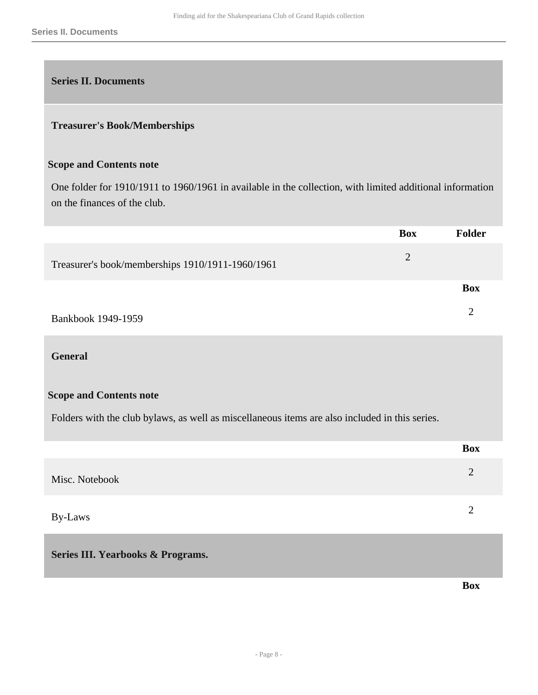<span id="page-7-0"></span>

#### **Treasurer's Book/Memberships**

#### **Scope and Contents note**

One folder for 1910/1911 to 1960/1961 in available in the collection, with limited additional information on the finances of the club.

|                                                  | <b>Box</b>     | Folder         |
|--------------------------------------------------|----------------|----------------|
| Treasurer's book/memberships 1910/1911-1960/1961 | $\overline{2}$ |                |
|                                                  |                | <b>Box</b>     |
| Bankbook 1949-1959                               |                | $\overline{2}$ |

#### **General**

#### **Scope and Contents note**

Folders with the club bylaws, as well as miscellaneous items are also included in this series.

|                | <b>Box</b> |
|----------------|------------|
| Misc. Notebook |            |
| By-Laws        |            |

#### <span id="page-7-1"></span>**Series III. Yearbooks & Programs.**

**Box**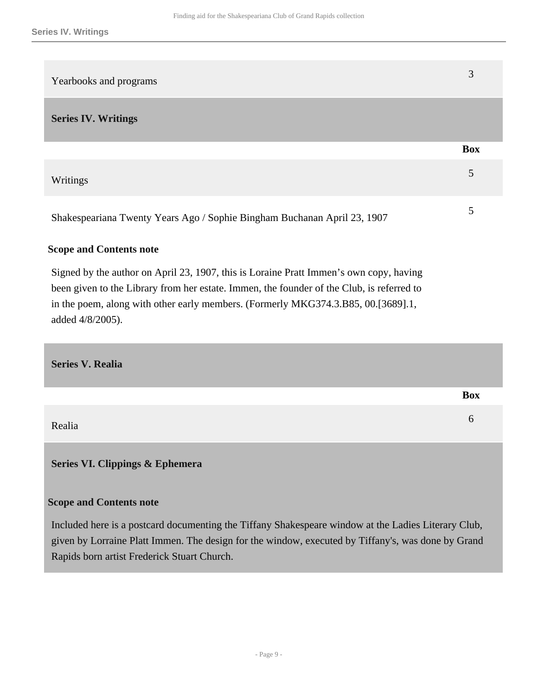<span id="page-8-0"></span>

| Yearbooks and programs                                                                                                                                                                                                                                                                       | 3          |
|----------------------------------------------------------------------------------------------------------------------------------------------------------------------------------------------------------------------------------------------------------------------------------------------|------------|
| <b>Series IV. Writings</b>                                                                                                                                                                                                                                                                   |            |
|                                                                                                                                                                                                                                                                                              | <b>Box</b> |
| Writings                                                                                                                                                                                                                                                                                     | 5          |
| Shakespeariana Twenty Years Ago / Sophie Bingham Buchanan April 23, 1907                                                                                                                                                                                                                     | 5          |
| <b>Scope and Contents note</b>                                                                                                                                                                                                                                                               |            |
| Signed by the author on April 23, 1907, this is Loraine Pratt Immen's own copy, having<br>been given to the Library from her estate. Immen, the founder of the Club, is referred to<br>in the poem, along with other early members. (Formerly MKG374.3.B85, 00.[3689].1,<br>added 4/8/2005). |            |
| $\mathbf{C}_{\alpha}$ $\mathbf{L}_{\alpha}$ $\mathbf{V}$ $\mathbf{D}_{\alpha}$ .                                                                                                                                                                                                             |            |

<span id="page-8-1"></span>**Series V. Realia** 

|        | <b>Box</b> |
|--------|------------|
| Realia | O          |

<span id="page-8-2"></span>**Series VI. Clippings & Ephemera** 

#### **Scope and Contents note**

Included here is a postcard documenting the Tiffany Shakespeare window at the Ladies Literary Club, given by Lorraine Platt Immen. The design for the window, executed by Tiffany's, was done by Grand Rapids born artist Frederick Stuart Church.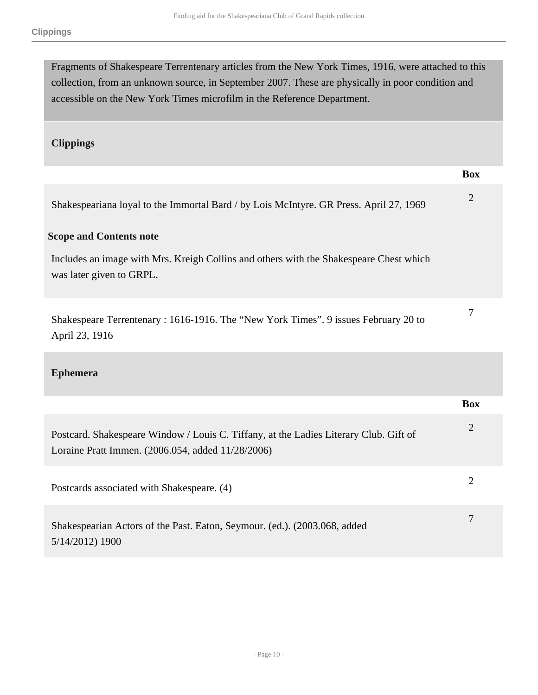Fragments of Shakespeare Terrentenary articles from the New York Times, 1916, were attached to this collection, from an unknown source, in September 2007. These are physically in poor condition and accessible on the New York Times microfilm in the Reference Department.

#### **Clippings**

|                                                                                                                                            | <b>Box</b>     |
|--------------------------------------------------------------------------------------------------------------------------------------------|----------------|
| Shakespeariana loyal to the Immortal Bard / by Lois McIntyre. GR Press. April 27, 1969                                                     | $\overline{2}$ |
| <b>Scope and Contents note</b>                                                                                                             |                |
| Includes an image with Mrs. Kreigh Collins and others with the Shakespeare Chest which<br>was later given to GRPL.                         |                |
| Shakespeare Terrentenary: 1616-1916. The "New York Times". 9 issues February 20 to<br>April 23, 1916                                       | 7              |
| <b>Ephemera</b>                                                                                                                            |                |
|                                                                                                                                            | <b>Box</b>     |
| Postcard. Shakespeare Window / Louis C. Tiffany, at the Ladies Literary Club. Gift of<br>Loraine Pratt Immen. (2006.054, added 11/28/2006) | $\overline{2}$ |
| Postcards associated with Shakespeare. (4)                                                                                                 | $\overline{2}$ |
| Shakespearian Actors of the Past. Eaton, Seymour. (ed.). (2003.068, added<br>5/14/2012) 1900                                               | $\overline{7}$ |